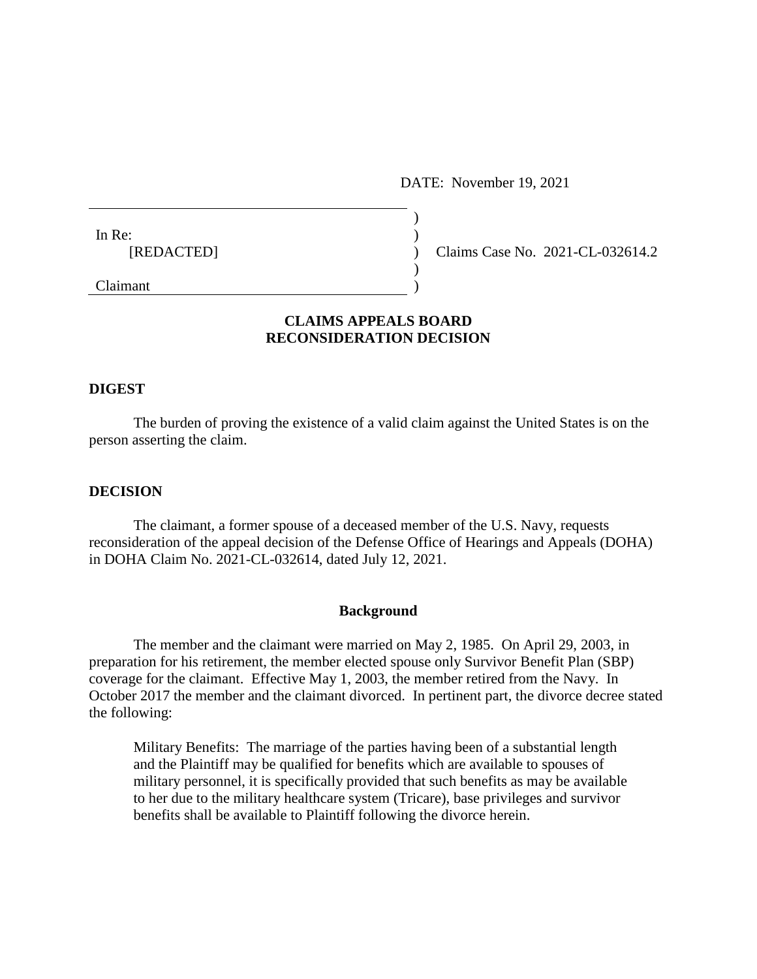DATE: November 19, 2021

| In Re:              |  |
|---------------------|--|
| [REDACTED]          |  |
|                     |  |
| $C_{\text{linear}}$ |  |

(c) Claims Case No. 2021-CL-032614.2

Claimant )

# **CLAIMS APPEALS BOARD RECONSIDERATION DECISION**

### **DIGEST**

The burden of proving the existence of a valid claim against the United States is on the person asserting the claim.

#### **DECISION**

The claimant, a former spouse of a deceased member of the U.S. Navy, requests reconsideration of the appeal decision of the Defense Office of Hearings and Appeals (DOHA) in DOHA Claim No. 2021-CL-032614, dated July 12, 2021.

#### **Background**

The member and the claimant were married on May 2, 1985. On April 29, 2003, in preparation for his retirement, the member elected spouse only Survivor Benefit Plan (SBP) coverage for the claimant. Effective May 1, 2003, the member retired from the Navy. In October 2017 the member and the claimant divorced. In pertinent part, the divorce decree stated the following:

Military Benefits: The marriage of the parties having been of a substantial length and the Plaintiff may be qualified for benefits which are available to spouses of military personnel, it is specifically provided that such benefits as may be available to her due to the military healthcare system (Tricare), base privileges and survivor benefits shall be available to Plaintiff following the divorce herein.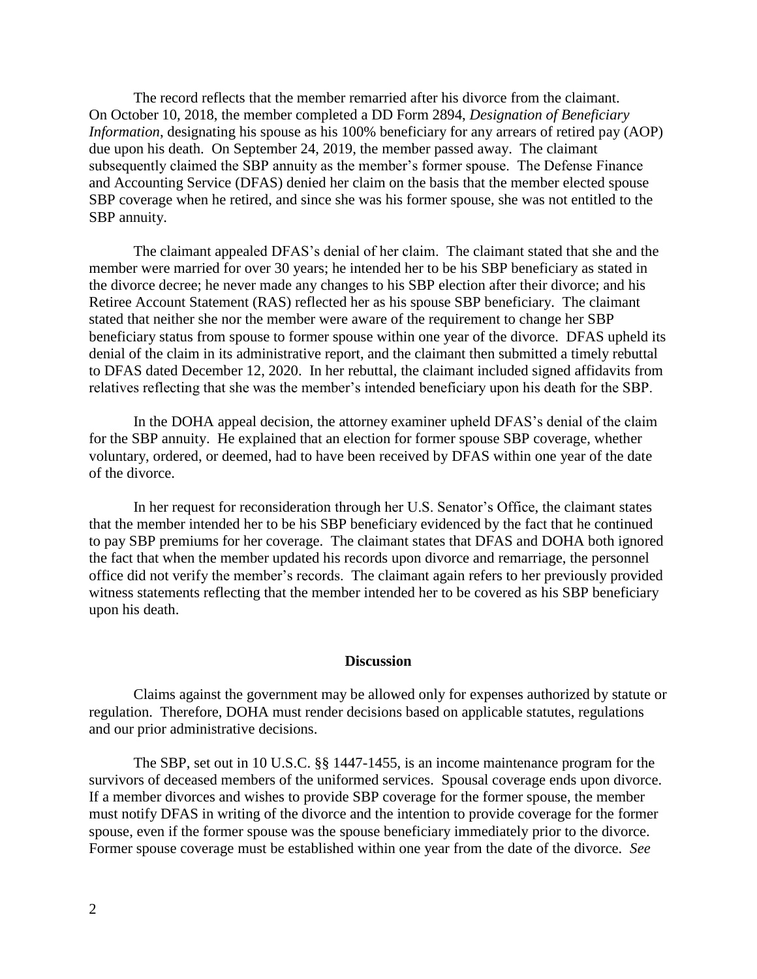The record reflects that the member remarried after his divorce from the claimant. On October 10, 2018, the member completed a DD Form 2894, *Designation of Beneficiary Information*, designating his spouse as his 100% beneficiary for any arrears of retired pay (AOP) due upon his death. On September 24, 2019, the member passed away. The claimant subsequently claimed the SBP annuity as the member's former spouse. The Defense Finance and Accounting Service (DFAS) denied her claim on the basis that the member elected spouse SBP coverage when he retired, and since she was his former spouse, she was not entitled to the SBP annuity.

The claimant appealed DFAS's denial of her claim. The claimant stated that she and the member were married for over 30 years; he intended her to be his SBP beneficiary as stated in the divorce decree; he never made any changes to his SBP election after their divorce; and his Retiree Account Statement (RAS) reflected her as his spouse SBP beneficiary. The claimant stated that neither she nor the member were aware of the requirement to change her SBP beneficiary status from spouse to former spouse within one year of the divorce. DFAS upheld its denial of the claim in its administrative report, and the claimant then submitted a timely rebuttal to DFAS dated December 12, 2020. In her rebuttal, the claimant included signed affidavits from relatives reflecting that she was the member's intended beneficiary upon his death for the SBP.

In the DOHA appeal decision, the attorney examiner upheld DFAS's denial of the claim for the SBP annuity. He explained that an election for former spouse SBP coverage, whether voluntary, ordered, or deemed, had to have been received by DFAS within one year of the date of the divorce.

In her request for reconsideration through her U.S. Senator's Office, the claimant states that the member intended her to be his SBP beneficiary evidenced by the fact that he continued to pay SBP premiums for her coverage. The claimant states that DFAS and DOHA both ignored the fact that when the member updated his records upon divorce and remarriage, the personnel office did not verify the member's records. The claimant again refers to her previously provided witness statements reflecting that the member intended her to be covered as his SBP beneficiary upon his death.

#### **Discussion**

Claims against the government may be allowed only for expenses authorized by statute or regulation. Therefore, DOHA must render decisions based on applicable statutes, regulations and our prior administrative decisions.

The SBP, set out in 10 U.S.C. §§ 1447-1455, is an income maintenance program for the survivors of deceased members of the uniformed services. Spousal coverage ends upon divorce. If a member divorces and wishes to provide SBP coverage for the former spouse, the member must notify DFAS in writing of the divorce and the intention to provide coverage for the former spouse, even if the former spouse was the spouse beneficiary immediately prior to the divorce. Former spouse coverage must be established within one year from the date of the divorce. *See*